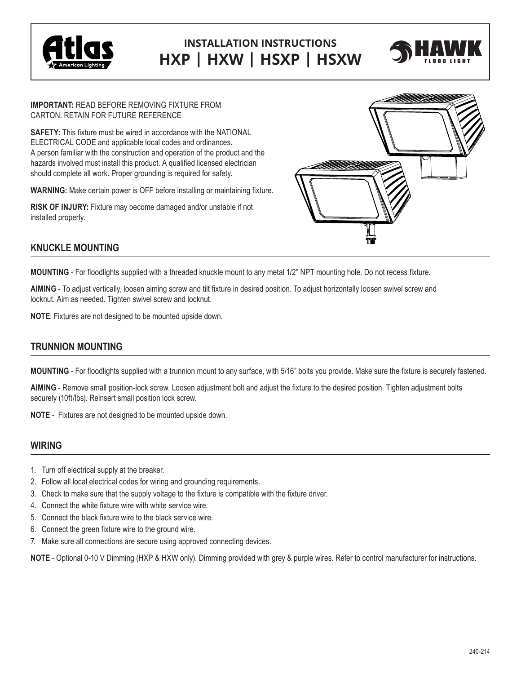

# **INSTALLATION INSTRUCTIONS HXP | HXW | HSXP | HSXW**



**IMPORTANT:** READ BEFORE REMOVING FIXTURE FROM CARTON. RETAIN FOR FUTURE REFERENCE

**SAFETY:** This fixture must be wired in accordance with the NATIONAL ELECTRICAL CODE and applicable local codes and ordinances. A person familiar with the construction and operation of the product and the hazards involved must install this product. A qualified licensed electrician should complete all work. Proper grounding is required for safety.

**WARNING:** Make certain power is OFF before installing or maintaining fixture.

**RISK OF INJURY:** Fixture may become damaged and/or unstable if not installed properly.



## **KNUCKLE MOUNTING**

**MOUNTING** - For floodlights supplied with a threaded knuckle mount to any metal 1/2" NPT mounting hole. Do not recess fixture.

**AIMING** - To adjust vertically, loosen aiming screw and tilt fixture in desired position. To adjust horizontally loosen swivel screw and locknut. Aim as needed. Tighten swivel screw and locknut.

**NOTE**: Fixtures are not designed to be mounted upside down.

### **TRUNNION MOUNTING**

**MOUNTING** - For floodlights supplied with a trunnion mount to any surface, with 5/16" bolts you provide. Make sure the fixture is securely fastened.

**AIMING** - Remove small position-lock screw. Loosen adjustment bolt and adjust the fixture to the desired position. Tighten adjustment bolts securely (10ft/lbs). Reinsert small position lock screw.

**NOTE** - Fixtures are not designed to be mounted upside down.

### **WIRING**

- 1. Turn off electrical supply at the breaker.
- 2. Follow all local electrical codes for wiring and grounding requirements.
- 3. Check to make sure that the supply voltage to the fixture is compatible with the fixture driver.
- 4. Connect the white fixture wire with white service wire.
- 5. Connect the black fixture wire to the black service wire.
- 6. Connect the green fixture wire to the ground wire.
- 7. Make sure all connections are secure using approved connecting devices.

**NOTE** - Optional 0-10 V Dimming (HXP & HXW only). Dimming provided with grey & purple wires. Refer to control manufacturer for instructions.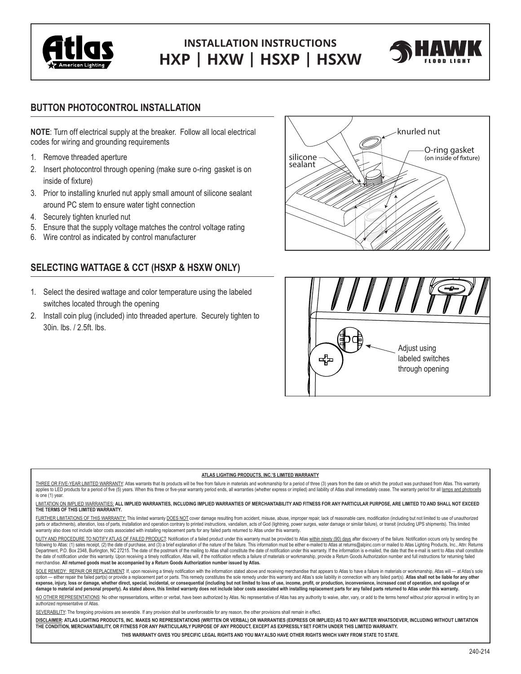

# **INSTALLATION INSTRUCTIONS HXP | HXW | HSXP | HSXW**



## **BUTTON PHOTOCONTROL INSTALLATION**

**NOTE**: Turn off electrical supply at the breaker. Follow all local electrical codes for wiring and grounding requirements

- 1. Remove threaded aperture
- 2. Insert photocontrol through opening (make sure o-ring gasket is on inside of fixture)
- 3. Prior to installing knurled nut apply small amount of silicone sealant around PC stem to ensure water tight connection
- 4. Securely tighten knurled nut
- 5. Ensure that the supply voltage matches the control voltage rating
- 6. Wire control as indicated by control manufacturer

# **SELECTING WATTAGE & CCT (HSXP & HSXW ONLY)**

- 1. Select the desired wattage and color temperature using the labeled switches located through the opening
- 2. Install coin plug (included) into threaded aperture. Securely tighten to 30in. lbs. / 2.5ft. lbs.





#### **ATLAS LIGHTING PRODUCTS, INC.'S LIMITED WARRANTY**

THREE OR FIVE-YEAR LIMITED WARRANTY: Atlas warrants that its products will be free from failure in materials and workmanship for a period of three (3) years from the date on which the product was purchased from Atlas. This applies to LED products for a period of five (5) years. When this three or five-year warranty period ends, all warranties (whether express or implied) and liability of Atlas shall immediately cease. The warranty period for is one (1) year.

#### LIMITATION ON IMPLIED WARRANTIES: **ALL IMPLIED WARRANTIES, INCLUDING IMPLIED WARRANTIES OF MERCHANTABILITY AND FITNESS FOR ANY PARTICULAR PURPOSE, ARE LIMITED TO AND SHALL NOT EXCEED THE TERMS OF THIS LIMITED WARRANTY.**

FURTHER LIMITATIONS OF THIS WARRANTY: This limited warranty DOES NOT cover damage resulting from accident, misuse, abuse, improper repair, lack of reasonable care, modification (including but not limited to use of unauthor parts or attachments), alteration, loss of parts, installation and operation contrary to printed instructions, vandalism, acts of God (lightning, power surges, water damage or similar failure), or transit (including UPS sh warranty also does not include labor costs associated with installing replacement parts for any failed parts returned to Atlas under this warranty.

DUTY AND PROCEDURE TO NOTIFY ATLAS OF FAILED PRODUCT: Notification of a failed product under this warranty must be provided to Atlas within ninety (90) days after discovery of the failure. Notification occurs only by sendi following to Atlas: (1) sales receipt, (2) the date of purchase, and (3) a brief explanation of the nature of the failure. This information must be either e-mailed to Atlas at returns@alpinc.com or mailed to Atlas Lighting Department, P.O. Box 2348, Burlington, NC 27215. The date of the postmark of the mailing to Atlas shall constitute the date of notification under this warranty. If the information is e-mailed, the date that the e-mail is s the date of notification under this warranty. Upon receiving a timely notification, Atlas will, if the notification reflects a failure of materials or workmanship, provide a Return Goods Authorization number and full instr merchandise. **All returned goods must be accompanied by a Return Goods Authorization number issued by Atlas.**

SOLE REMEDY: REPAIR OR REPLACEMENT: If, upon receiving a timely notification with the information stated above and receiving merchandise that appears to Atlas to have a failure in materials or workmanship, Atlas will -- at option - either repair the failed part(s) or provide a replacement part or parts. This remedy constitutes the sole remedy under this warranty and Atlas's sole liability in connection with any failed part(s). Atlas shall no expense, injury, loss or damage, whether direct, special, incidental, or consequential (including but not limited to loss of use, income, profit, or production, inconvenience, increased cost of operation, and spoilage of o damage to material and personal property). As stated above, this limited warranty does not include labor costs associated with installing replacement parts for any failed parts returned to Atlas under this warranty.

NO OTHER REPRESENTATIONS: No other representations, written or verbal, have been authorized by Atlas. No representative of Atlas has any authority to waive, alter, vary, or add to the terms hereof without prior approval in authorized representative of Atlas.

SEVERABILITY: The foregoing provisions are severable. If any provision shall be unenforceable for any reason, the other provisions shall remain in effect.

**DISCLAIMER: ATLAS LIGHTING PRODUCTS, INC. MAKES NO REPRESENTATIONS (WRITTEN OR VERBAL) OR WARRANTIES (EXPRESS OR IMPLIED) AS TO ANY MATTER WHATSOEVER, INCLUDING WITHOUT LIMITATION THE CONDITION, MERCHANTABILITY, OR FITNESS FOR ANY PARTICULARLY PURPOSE OF ANY PRODUCT, EXCEPT AS EXPRESSLY SET FORTH UNDER THIS LIMITED WARRANTY.** 

**THIS WARRANTY GIVES YOU SPECIFIC LEGAL RIGHTS AND YOU MAYALSO HAVE OTHER RIGHTS WHICH VARY FROM STATE TO STATE.**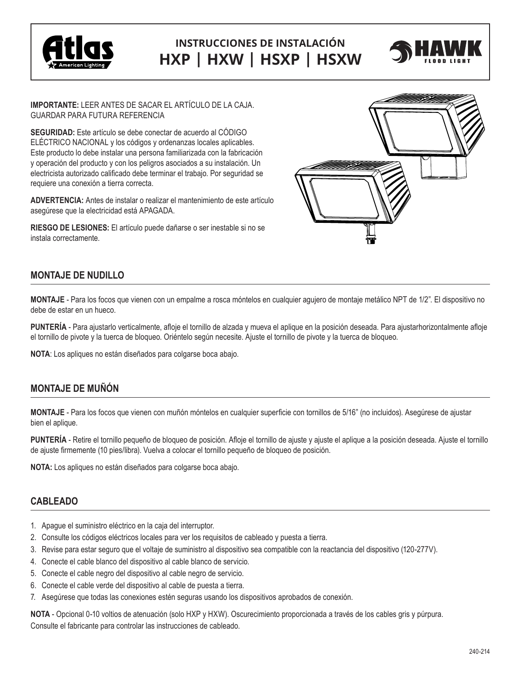

# **INSTRUCCIONES DE INSTALACIÓN HXP | HXW | HSXP | HSXW**



**IMPORTANTE:** LEER ANTES DE SACAR EL ARTÍCULO DE LA CAJA. GUARDAR PARA FUTURA REFERENCIA

**SEGURIDAD:** Este artículo se debe conectar de acuerdo al CÓDIGO ELÉCTRICO NACIONAL y los códigos y ordenanzas locales aplicables. Este producto lo debe instalar una persona familiarizada con la fabricación y operación del producto y con los peligros asociados a su instalación. Un electricista autorizado calificado debe terminar el trabajo. Por seguridad se requiere una conexión a tierra correcta.

**ADVERTENCIA:** Antes de instalar o realizar el mantenimiento de este artículo asegúrese que la electricidad está APAGADA.

**RIESGO DE LESIONES:** El artículo puede dañarse o ser inestable si no se instala correctamente.



# **MONTAJE DE NUDILLO**

**MONTAJE** - Para los focos que vienen con un empalme a rosca móntelos en cualquier agujero de montaje metálico NPT de 1/2". El dispositivo no debe de estar en un hueco.

**PUNTERÍA** - Para ajustarlo verticalmente, afloje el tornillo de alzada y mueva el aplique en la posición deseada. Para ajustarhorizontalmente afloje el tornillo de pivote y la tuerca de bloqueo. Oriéntelo según necesite. Ajuste el tornillo de pivote y la tuerca de bloqueo.

**NOTA**: Los apliques no están diseñados para colgarse boca abajo.

## **MONTAJE DE MUÑÓN**

**MONTAJE** - Para los focos que vienen con muñón móntelos en cualquier superficie con tornillos de 5/16" (no incluidos). Asegúrese de ajustar bien el aplique.

**PUNTERÍA** - Retire el tornillo pequeño de bloqueo de posición. Afloje el tornillo de ajuste y ajuste el aplique a la posición deseada. Ajuste el tornillo de ajuste firmemente (10 pies/libra). Vuelva a colocar el tornillo pequeño de bloqueo de posición.

**NOTA:** Los apliques no están diseñados para colgarse boca abajo.

### **CABLEADO**

- 1. Apague el suministro eléctrico en la caja del interruptor.
- 2. Consulte los códigos eléctricos locales para ver los requisitos de cableado y puesta a tierra.
- 3. Revise para estar seguro que el voltaje de suministro al dispositivo sea compatible con la reactancia del dispositivo (120-277V).
- 4. Conecte el cable blanco del dispositivo al cable blanco de servicio.
- 5. Conecte el cable negro del dispositivo al cable negro de servicio.
- 6. Conecte el cable verde del dispositivo al cable de puesta a tierra.
- 7. Asegúrese que todas las conexiones estén seguras usando los dispositivos aprobados de conexión.

**NOTA** - Opcional 0-10 voltios de atenuación (solo HXP y HXW). Oscurecimiento proporcionada a través de los cables gris y púrpura. Consulte el fabricante para controlar las instrucciones de cableado.